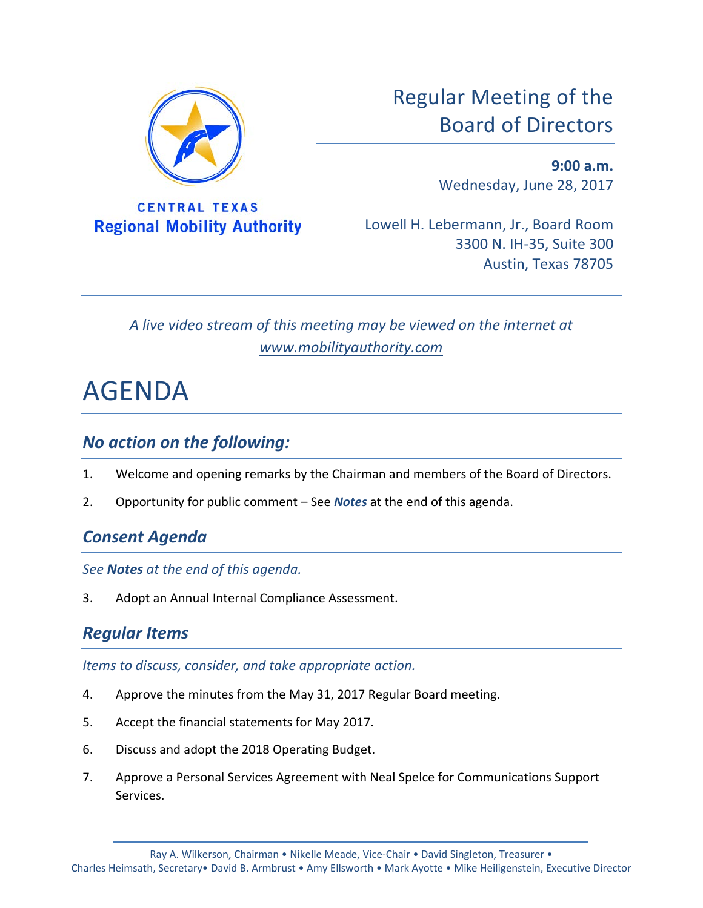

**CENTRAL TEXAS Regional Mobility Authority**  Regular Meeting of the Board of Directors

> **9:00 a.m.** Wednesday, June 28, 2017

Lowell H. Lebermann, Jr., Board Room 3300 N. IH-35, Suite 300 Austin, Texas 78705

*A live video stream of this meeting may be viewed on the internet at www.mobilityauthority.com*

# AGENDA

### *No action on the following:*

- 1. Welcome and opening remarks by the Chairman and members of the Board of Directors.
- 2. Opportunity for public comment See *Notes* at the end of this agenda.

# *Consent Agenda*

*See Notes at the end of this agenda.*

3. Adopt an Annual Internal Compliance Assessment.

# *Regular Items*

*Items to discuss, consider, and take appropriate action.*

- 4. Approve the minutes from the May 31, 2017 Regular Board meeting.
- 5. Accept the financial statements for May 2017.
- 6. Discuss and adopt the 2018 Operating Budget.
- 7. Approve a Personal Services Agreement with Neal Spelce for Communications Support Services.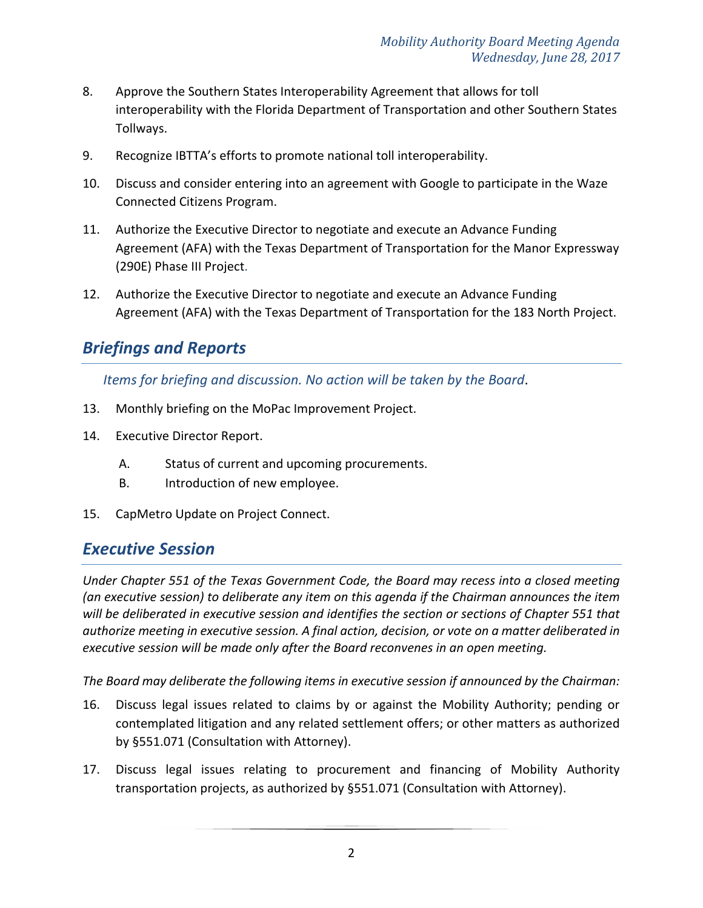- 8. Approve the Southern States Interoperability Agreement that allows for toll interoperability with the Florida Department of Transportation and other Southern States Tollways.
- 9. Recognize IBTTA's efforts to promote national toll interoperability.
- 10. Discuss and consider entering into an agreement with Google to participate in the Waze Connected Citizens Program.
- 11. Authorize the Executive Director to negotiate and execute an Advance Funding Agreement (AFA) with the Texas Department of Transportation for the Manor Expressway (290E) Phase III Project.
- 12. Authorize the Executive Director to negotiate and execute an Advance Funding Agreement (AFA) with the Texas Department of Transportation for the 183 North Project.

# *Briefings and Reports*

*Items for briefing and discussion. No action will be taken by the Board*.

- 13. Monthly briefing on the MoPac Improvement Project.
- 14. Executive Director Report.
	- A. Status of current and upcoming procurements.
	- B. Introduction of new employee.
- 15. CapMetro Update on Project Connect.

### *Executive Session*

*Under Chapter 551 of the Texas Government Code, the Board may recess into a closed meeting (an executive session) to deliberate any item on this agenda if the Chairman announces the item will be deliberated in executive session and identifies the section or sections of Chapter 551 that authorize meeting in executive session. A final action, decision, or vote on a matter deliberated in executive session will be made only after the Board reconvenes in an open meeting.*

*The Board may deliberate the following items in executive session if announced by the Chairman:*

- 16. Discuss legal issues related to claims by or against the Mobility Authority; pending or contemplated litigation and any related settlement offers; or other matters as authorized by §551.071 (Consultation with Attorney).
- 17. Discuss legal issues relating to procurement and financing of Mobility Authority transportation projects, as authorized by §551.071 (Consultation with Attorney).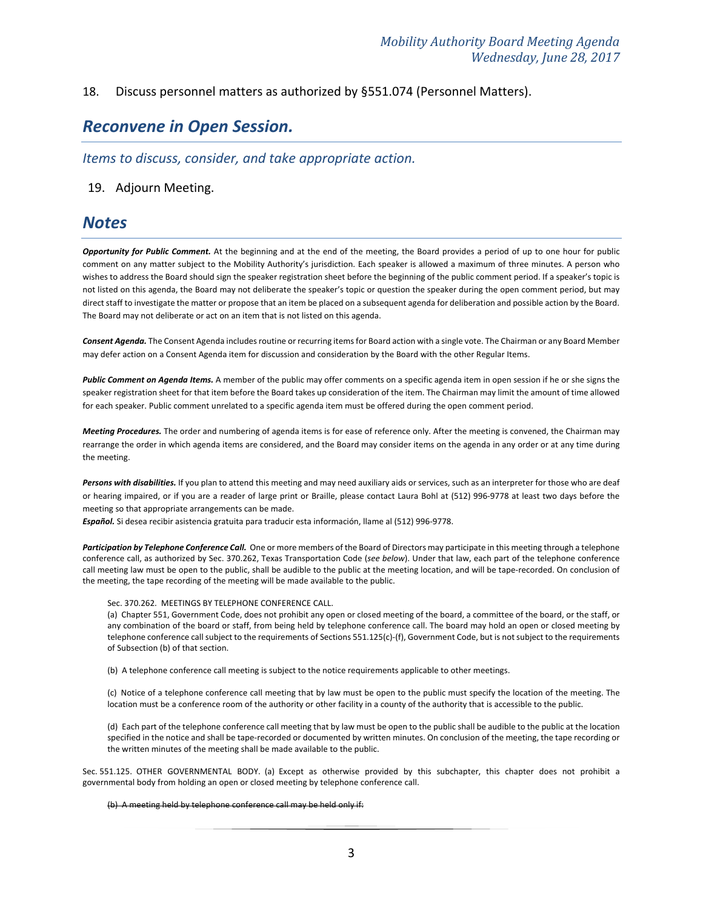### 18. Discuss personnel matters as authorized by §551.074 (Personnel Matters).

### *Reconvene in Open Session.*

*Items to discuss, consider, and take appropriate action.*

### 19. Adjourn Meeting.

### *Notes*

*Opportunity for Public Comment.* At the beginning and at the end of the meeting, the Board provides a period of up to one hour for public comment on any matter subject to the Mobility Authority's jurisdiction. Each speaker is allowed a maximum of three minutes. A person who wishes to address the Board should sign the speaker registration sheet before the beginning of the public comment period. If a speaker's topic is not listed on this agenda, the Board may not deliberate the speaker's topic or question the speaker during the open comment period, but may direct staff to investigate the matter or propose that an item be placed on a subsequent agenda for deliberation and possible action by the Board. The Board may not deliberate or act on an item that is not listed on this agenda.

*Consent Agenda.* The Consent Agenda includes routine or recurring items for Board action with a single vote. The Chairman or any Board Member may defer action on a Consent Agenda item for discussion and consideration by the Board with the other Regular Items.

Public Comment on Agenda Items. A member of the public may offer comments on a specific agenda item in open session if he or she signs the speaker registration sheet for that item before the Board takes up consideration of the item. The Chairman may limit the amount of time allowed for each speaker. Public comment unrelated to a specific agenda item must be offered during the open comment period.

*Meeting Procedures.* The order and numbering of agenda items is for ease of reference only. After the meeting is convened, the Chairman may rearrange the order in which agenda items are considered, and the Board may consider items on the agenda in any order or at any time during the meeting.

Persons with disabilities. If you plan to attend this meeting and may need auxiliary aids or services, such as an interpreter for those who are deaf or hearing impaired, or if you are a reader of large print or Braille, please contact Laura Bohl at (512) 996-9778 at least two days before the meeting so that appropriate arrangements can be made.

*Español.* Si desea recibir asistencia gratuita para traducir esta información, llame al (512) 996-9778.

Participation by Telephone Conference Call. One or more members of the Board of Directors may participate in this meeting through a telephone conference call, as authorized by Sec. 370.262, Texas Transportation Code (*see below*). Under that law, each part of the telephone conference call meeting law must be open to the public, shall be audible to the public at the meeting location, and will be tape-recorded. On conclusion of the meeting, the tape recording of the meeting will be made available to the public.

#### Sec. 370.262. MEETINGS BY TELEPHONE CONFERENCE CALL.

(a) Chapter 551, Government Code, does not prohibit any open or closed meeting of the board, a committee of the board, or the staff, or any combination of the board or staff, from being held by telephone conference call. The board may hold an open or closed meeting by telephone conference call subject to the requirements of Sections 551.125(c)-(f), Government Code, but is not subject to the requirements of Subsection (b) of that section.

(b) A telephone conference call meeting is subject to the notice requirements applicable to other meetings.

(c) Notice of a telephone conference call meeting that by law must be open to the public must specify the location of the meeting. The location must be a conference room of the authority or other facility in a county of the authority that is accessible to the public.

(d) Each part of the telephone conference call meeting that by law must be open to the public shall be audible to the public at the location specified in the notice and shall be tape-recorded or documented by written minutes. On conclusion of the meeting, the tape recording or the written minutes of the meeting shall be made available to the public.

Sec. 551.125. OTHER GOVERNMENTAL BODY. (a) Except as otherwise provided by this subchapter, this chapter does not prohibit a governmental body from holding an open or closed meeting by telephone conference call.

#### (b) A meeting held by telephone conference call may be held only if: